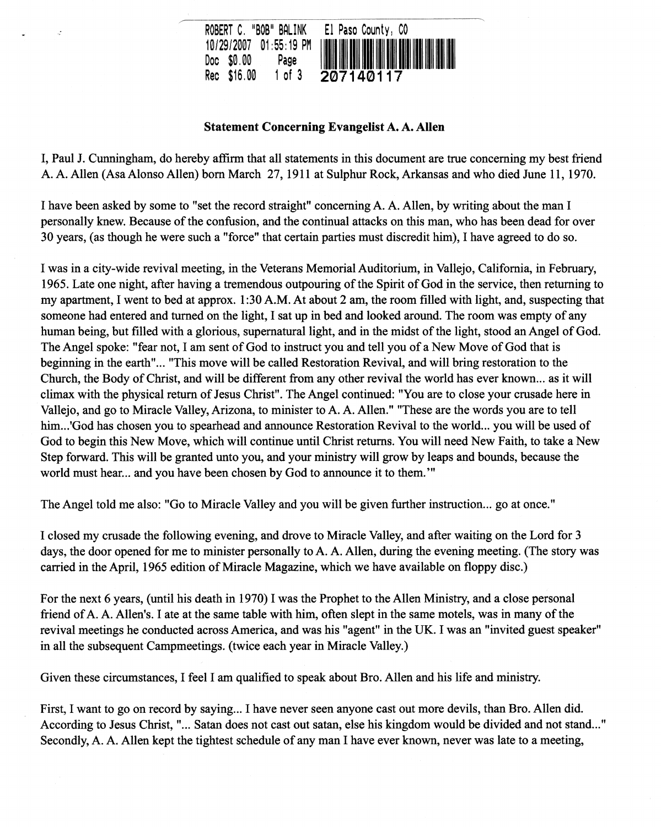

## Statement Concerning Evangelist A. A. Allen

I, Paul J. Cunningham, do hereby affirm that all statements in this document are true concerning my best friend A A Allen (AsaAlonso Allen) born March 27, 1911 at Sulphur Rock, Arkansas and who died June 11, 1970.

I have been asked by some to "set the record straight" concerning A. A. Allen, by writing about the man I personally knew. Because of the confusion, and the continual attacks on this man, who has been dead for over 30 years, (as though he were such a "force" that certain parties must discredit him), I have agreed to do so.

I was in a city-wide revival meeting, in the Veterans Memorial Auditorium, in Vallejo, California, in February, 1965. Late one night, after having a tremendous outpouring of the Spirit of God in the service, then returning to my apartment, I went to bed at approx. 1 :30 AM. At about 2 am, the room filled with light, and, suspecting that someone had entered and turned on the light, I sat up in bed and looked around. The room was empty of any human being, but filled with a glorious, supernatural light, and in the midst of the light, stood an Angel of God. The Angel spoke: "fear not, I am sent of God to instruct you and tell you of a New Move of God that is beginning in the earth"... "This move will be called Restoration Revival, and will bring restoration to the Church, the Body of Christ, and will be different from any other revival the world has ever known ... as it will climax with the physical return of Jesus Christ". The Angel continued: "You are to close your crusade here in Vallejo, and go to Miracle Valley, Arizona, to minister to A. A. Allen." "These are the words you are to tell him...'God has chosen you to spearhead and announce Restoration Revival to the world... you will be used of God to begin this New Move, which will continue until Christ returns. You will need New Faith, to take a New Step forward. This will be granted unto you, and your ministry will grow by leaps and bounds, because the world must hear... and you have been chosen by God to announce it to them.'"

The Angel told me also: "Go to Miracle Valley and you will be given further instruction... go at once."

I closed my crusade the following evening, and drove to Miracle Valley, and after waiting on the Lord for 3 days, the door opened for me to minister personally to A. A. Allen, during the evening meeting. (The story was carried in the April, 1965 edition of Miracle Magazine, which we have available on floppy disc.)

For the next 6 years, (until his death in 1970) I was the Prophet to the Allen Ministry, and a close personal friend of A. A. Allen's. I ate at the same table with him, often slept in the same motels, was in many of the revival meetings he conducted across America, and was his "agent" in the UK. I was an "invited guest speaker" in all the subsequent Campmeetings. (twice each year in Miracle Valley.)

Given these circumstances, I feel I am qualified to speak about Bro. Allen and his life and ministry.

First, I want to go on record by saying... I have never seen anyone cast out more devils, than Bro. Allen did. According to Jesus Christ, "... Satan does not cast out satan, else his kingdom would be divided and not stand..." Secondly, A. A. Allen kept the tightest schedule of any man I have ever known, never was late to a meeting,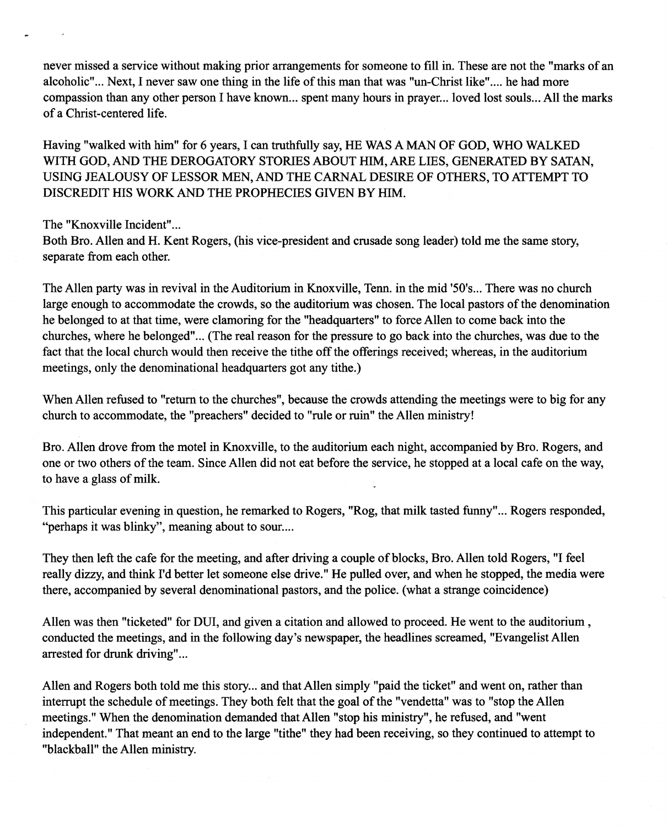never missed a service without making prior arrangements for someone to fill in. These are not the "marks of an alcoholic" ... Next, I never saw one thing in the life of this man that was "un-Christ like" .... he had more compassion than any other person I have known... spent many hours in prayer... loved lost souls... All the marks of a Christ-centered life.

Having "walked with him" for 6 years, I can truthfully say, HE WAS A MAN OF GOD, WHO WALKED WITH GOD, AND THE DEROGATORY STORIES ABOUT HIM, ARE LIES, GENERATED BY SATAN, USING JEALOUSY OF LESSOR MEN, AND THE CARNAL DESIRE OF OTHERS, TO ATTEMPT TO DISCREDIT HIS WORK AND THE PROPHECIES GIVEN BY HIM.

The "Knoxville Incident"...

Both Bro. Allen and H. Kent Rogers, (his vice-president and crusade song leader) told me the same story, separate from each other.

The Allen party was in revival in the Auditorium in Knoxville, Tenn. in the mid '50's ... There was no church large enough to accommodate the crowds, so the auditorium was chosen. The local pastors of the denomination he belonged to at that time, were clamoring for the "headquarters" to force Allen to come back into the churches, where he belonged" ... (The real reason for the pressure to go back into the churches, was due to the fact that the local church would then receive the tithe off the offerings received; whereas, in the auditorium meetings, only the denominational headquarters got any tithe.)

When Allen refused to "return to the churches", because the crowds attending the meetings were to big for any church to accommodate, the "preachers" decided to "rule or ruin" the Allen ministry!

Bro. Allen drove from the motel in Knoxville, to the auditorium each night, accompanied by Bro. Rogers, and one or two others of the team. Since Allen did not eat before the service, he stopped at a local cafe on the way, to have a glass of milk.

This particular evening in question, he remarked to Rogers, "Rog, that milk tasted funny" ... Rogers responded, "perhaps it was blinky", meaning about to sour....

They then left the cafe for the meeting, and after driving a couple of blocks, Bro. Allen told Rogers, "I feel really dizzy, and think I'd better let someone else drive." He pulled over, and when he stopped, the media were there, accompanied by several denominational pastors, and the police. (what a strange coincidence)

Allen was then "ticketed" for DUI, and given a citation and allowed to proceed. He went to the auditorium, conducted the meetings, and in the following day's newspaper, the headlines screamed, "Evangelist Allen arrested for drunk driving" ...

Allen and Rogers both told me this story... and that Allen simply "paid the ticket" and went on, rather than interrupt the schedule of meetings. They both felt that the goal of the "vendetta" was to "stop the Allen meetings." When the denomination demanded that Allen "stop his ministry", he refused, and "went independent." That meant an end to the large "tithe" they had been receiving, so they continued to attempt to "blackball" the Allen ministry.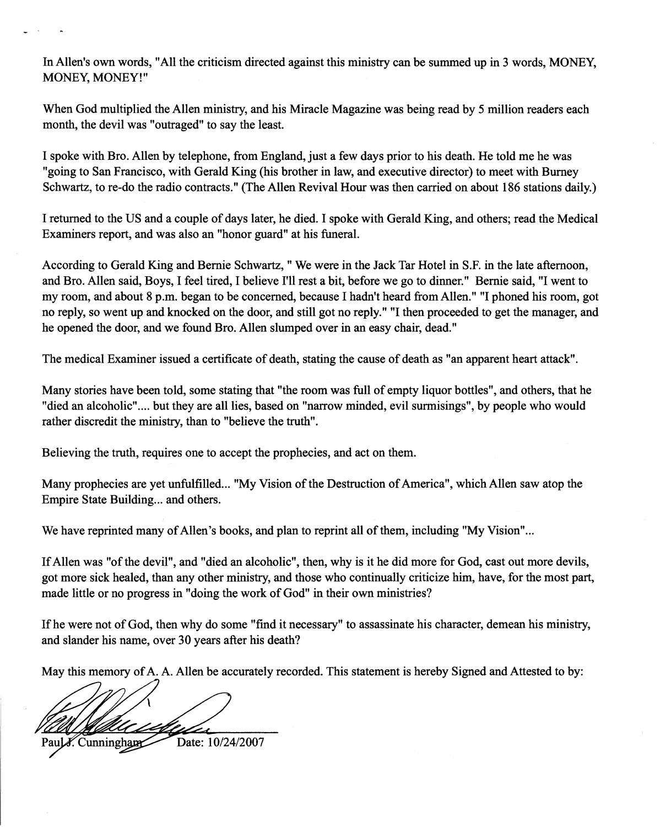In Allen's own words, "All the criticism directed against this ministry can be summed up in 3 words, MONEY, MONEY, MONEY!"

When God multiplied the Allen ministry, and his Miracle Magazine was being read by 5 million readers each month, the devil was "outraged" to say the least.

I spoke with Bro. Allen by telephone, from England, just a few days prior to his death. He told me he was "going to San Francisco, with Gerald King (his brother in law, and executive director) to meet with Burney Schwartz, to re-do the radio contracts." (The Allen Revival Hour was then carried on about 186 stations daily.)

I returned to the US and a couple of days later, he died. I spoke with Gerald King, and others; read the Medical Examiners report, and was also an "honor guard" at his funeral.

According to Gerald King and Bernie Schwartz, " We were in the Jack Tar Hotel in S.F. in the late afternoon, and Bro. Allen said, Boys, I feel tired, I believe I'll rest a bit, before we go to dinner." Bernie said, "I went to my room, and about 8 p.m. began to be concerned, because I hadn't heard from Allen." "I phoned his room, got no reply, so went up and knocked on the door, and still got no reply." "I then proceeded to get the manager, and he opened the door, and we found Bro. Allen slumped over in an easy chair, dead."

The medical Examiner issued a certificate of death, stating the cause of death as "an apparent heart attack".

Many stories have been told, some stating that "the room was full of empty liquor bottles", and others, that he "died an alcoholic" .... but they are all lies, based on "narrow minded, evil surmisings", by people who would rather discredit the ministry, than to "believe the truth".

Believing the truth, requires one to accept the prophecies, and act on them.

Many prophecies are yet unfulfilled... "My Vision of the Destruction of America", which Allen saw atop the Empire State Building... and others.

We have reprinted many of Allen's books, and plan to reprint all of them, including "My Vision"...

If Allen was "of the devil", and "died an alcoholic", then, why is it he did more for God, cast out more devils, got more sick healed, than any other ministry, and those who continually criticize him, have, for the most part, made little or no progress in "doing the work of God" in their own ministries?

If he were not of God, then why do some "find it necessary" to assassinate his character, demean his ministry, and slander his name, over 30 years after his death?

May this memory of A. A. Allen be accurately recorded. This statement is hereby Signed and Attested to by:

Date: 10/24/2007 Cunningham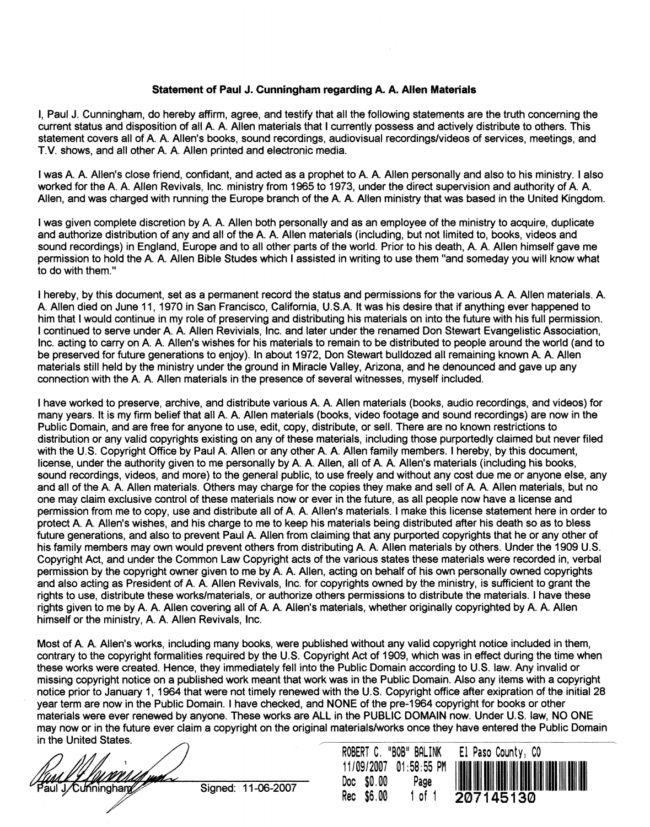## Statement of Paul J. Cunningham regarding A. A. Ailen Materials

I, Paul J. Cunningham, do hereby affirm, agree, and testify that all the following statements are the truth concerning the current status and disposition of all A. A. Allen materials that I currently possess and actively distribute to others. This statement covers all of A. A. Allen's books, sound recordings, audiovisual recordings/videos of services, meetings, and T.V. shows, and all other A. A. Allen printed and electronic media.

I was A. A. Allen's close friend, confidant, and acted as a prophet to A. A. Allen personally and also to his ministry. I also worked for the A. A. Allen Revivals, Inc. ministry from 1965 to 1973, under the direct supervision and authority of A. A. Allen, and was charged with running the Europe branch of the A. A. Allen ministry that was based in the United Kingdom.

I was given complete discretion by A. A. Allen both personally and as an employee of the ministry to acquire, duplicate and authorize distribution of any and all of the A. A. Allen materials (including, but not limited to, books, videos and sound recordings) in England, Europe and to all other parts of the world. Prior to his death. A. A. Allen himself gave me permission to hold the A. A. Allen Bible Studes which I assisted in writing to use them "and someday you will know what to do with them."

I hereby, by this document, set as a permanent record the status and permissions for the various A. A. Allen materials. A. A. Allen died on June 11, 1970 in San Francisco, California, U.S.A. It was his desire that if anything ever happened to him that I would continue in my role of preserving and distributing his materials on into the future with his full permission. I continued to serve under A. A. Allen Revivials, Inc. and later under the renamed Don Stewart Evangelistic Association, Inc. acting to carry on A. A. Allen's wishes for his materials to remain to be distributed to people around the world (and to be preserved for future generations to enjoy). In about 1972, Don Stewart buildozed all remaining known A. A. Allen materials still held by the ministry under the ground in Miracle Valley, Arizona, and he denounced and gave up any connection with the A. A. Allen materials in the presence of several witnesses, myself included.

I have worked to preserve, archive, and distribute various A. A. Allen materials (books, audio recordings, and videos) for many years. It is my firm belief that all A. A. Allen materials (books, video footage and sound recordings) are now in the Public Domain, and are free for anyone to use, edit, copy, distribute, or sell. There are no known restrictions to distribution or any valid copyrights existing on any of these materials, including those purportedly claimed but never filed with the U.S. Copyright Office by Paul A. Allen or any other A. A. Allen family members. I hereby, by this document, license, under the authority given to me personally by A. A. Allen, all of A. A. Allen's materials (including his books, sound recordings, videos, and more) to the general public, to use freely and without any cost due me or anyone else, any and all of the A. A. Allen materials. Others may charge for the copies they make and sell of A. A. Allen materials, but no one may claim exclusive control of these materials now or ever in the future, as all people now have a license and permission from me to copy, use and distribute all of A. A. Allen's materials. I make this license statement here in order to protect A. A. Allen's wishes, and his charge to me to keep his materials being distributed after his death so as to bless future generations, and also to prevent Paul A. Allen from claiming that any purported copyrights that he or any other of his family members may own would prevent others from distributing A. A. Allen materials by others. Under the 1909 U.S. Copyright Act, and under the Common Law Copyright acts of the various states these materials were recorded in, verbal permission by the copyright owner given to me by A. A. Allen, acting on behalf of his own personally owned copyrights and also acting as President of A. A. Allen Revivals, Inc. for copyrights owned by the ministry, is sufficient to grant the rights to use, distribute these works/materials, or authorize others permissions to distribute the materials. I have these rights given to me by A. A. Allen covering all of A. A. Allen's materials, whether originally copyrighted by A. A, Allen himself or the ministry, A. A. Allen Revivals, Inc.

Most of A. A Allen's works, including many books, were published without any valid copyright notice included in them, contrary to the copyright formalities required by the U.S. Copyright Act of 1909, which was in effect during the time when these works were created. Hence, they immediately fell into the Public Domain according to U.S. law. Any invalid or missing copyright notice on a published work meant that work was in the Public Domain. Also any items with a copyright notice prior to January 1, 1964 that were not timely renewed with the U.s. Copyright office after exipration of the initial 28 year term are now in the Public Domain. I have checked, and NONE of the pre-1964 copyright for books or other materials were ever renewed by anyone. These works are ALL in the PUBLIC DOMAIN now. Under U. S. law, NO ONE may now or in the future ever claim a copyright on the original materials/works once they have entered the Public Domain in the United States.

J/Cunningham

Signed: 11-06-2007

|            | ROBERT C. "BOB" BALINK  |  |
|------------|-------------------------|--|
|            | 11/09/2007  01:58:55 PM |  |
| Doc \$0.00 | Page                    |  |
| Rec \$6.00 | 1 of 1                  |  |

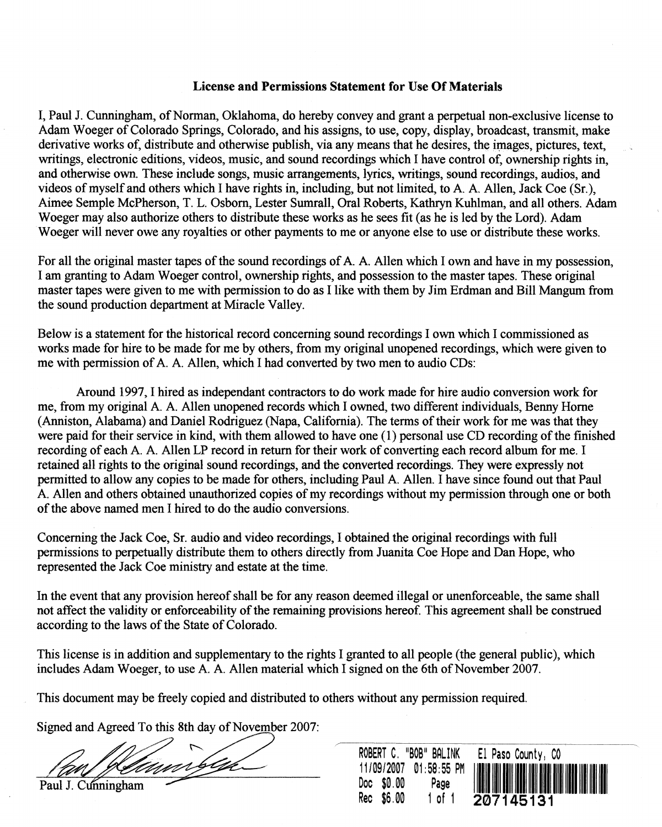## License and Permissions Statement for Use Of Materials

I, Paul J. Cunningham, of Norman, Oklahoma, do hereby convey and grant a perpetual non-exclusive license to Adam Woeger of Colorado Springs, Colorado, and his assigns, to use, copy, display, broadcast, transmit, make derivative works of, distribute and otherwise publish, via any means that he desires, the images, pictures, text, writings, electronic editions, videos, music, and sound recordings which I have control of, ownership rights in, and otherwise own. These include songs, music arrangements, lyrics, writings, sound recordings, audios, and videos of myself and others which I have rights in, including, but not limited, to A A Allen, Jack Coe (Sr.), Aimee Semple McPherson, T. L. Osborn, Lester Sumrall, Oral Roberts, Kathryn Kuhlman, and all others. Adam Woeger may also authorize others to distribute these works as he sees fit (as he is led by the Lord). Adam Woeger will never owe any royalties or other payments to me or anyone else to use or distribute these works.

For all the original master tapes of the sound recordings of A. A. Allen which I own and have in my possession, I am granting to Adam Woeger control, ownership rights, and possession to the master tapes. These original master tapes were given to me with permission to do as I like with them by Jim Erdman and Bill Mangum from the sound production department at Miracle Valley.

Below is a statement for the historical record concerning sound recordings I own which I commissioned as works made for hire to be made for me by others, from my original unopened recordings, which were given to me with permission of A. A. Allen, which I had converted by two men to audio CDs:

Around 1997, I hired as independant contractors to do work made for hire audio conversion work for me, from my original A A Allen unopened records which I owned, two different individuals, Benny Home (Anniston, Alabama) and Daniel Rodriguez (Napa, California). The terms of their work for me was that they were paid for their service in kind, with them allowed to have one (1) personal use CD recording of the finished recording of each A. A. Allen LP record in return for their work of converting each record album for me. I retained all rights to the original sound recordings, and the converted recordings. They were expressly not permitted to allow any copies to be made for others, including Paul A Allen. I have since found out that Paul A Allen and others obtained unauthorized copies of my recordings without my permission through one or both of the above named men I hired to do the audio conversions.

Concerning the Jack Coo, Sr. audio and video recordings, I obtained the original recordings with full permissions to perpetually distribute them to others directly from Juanita Coe Hope and Dan Hope, who represented the Jack Coe ministry and estate at the time.

In the event that any provision hereof shall be for any reason deemed illegal or unenforceable, the same shall not affect the validity or enforceability of the remaining provisions hereof. This agreement shall be construed according to the laws of the State of Colorado.

This license is in addition and supplementary to the rights I granted to all people (the general public), which includes Adam Woeger, to use A. A. Allen material which I signed on the 6th of November 2007.

This document may be freely copied and distributed to others without any permission required.

Signed and Agreed To this 8th day of November 2007:

Paul J. Cunningham

ROBERT C, "BOB" BALINK *11/09/2007* 01 :58:55 PM Doe \$0,00 Page Ree \$6,00 1 of 1 El Paso County, CO 1111111111111111111111111111111111111111111111111111111 **207145131**